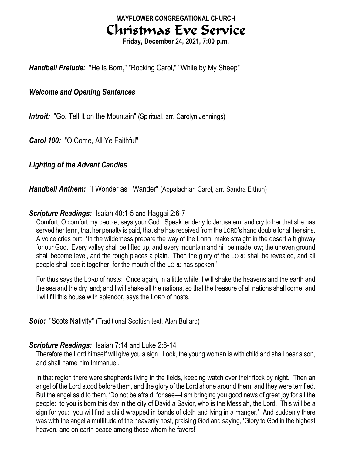# MAYFLOWER CONGREGATIONAL CHURCH Christmas Eve Service

Friday, December 24, 2021, 7:00 p.m.

Handbell Prelude: "He Is Born," "Rocking Carol," "While by My Sheep"

## Welcome and Opening Sentences

**Introit:** "Go, Tell It on the Mountain" (Spiritual, arr. Carolyn Jennings)

Carol 100: "O Come, All Ye Faithful"

# Lighting of the Advent Candles

Handbell Anthem: "I Wonder as I Wander" (Appalachian Carol, arr. Sandra Eithun)

# Scripture Readings: Isaiah 40:1-5 and Haggai 2:6-7

Comfort, O comfort my people, says your God. Speak tenderly to Jerusalem, and cry to her that she has served her term, that her penalty is paid, that she has received from the LORD's hand double for all her sins. A voice cries out: 'In the wilderness prepare the way of the LORD, make straight in the desert a highway for our God. Every valley shall be lifted up, and every mountain and hill be made low; the uneven ground shall become level, and the rough places a plain. Then the glory of the LORD shall be revealed, and all people shall see it together, for the mouth of the LORD has spoken.'

For thus says the LORD of hosts: Once again, in a little while, I will shake the heavens and the earth and the sea and the dry land; and I will shake all the nations, so that the treasure of all nations shall come, and I will fill this house with splendor, says the LORD of hosts.

### **Solo:** "Scots Nativity" (Traditional Scottish text, Alan Bullard)

### Scripture Readings: Isaiah 7:14 and Luke 2:8-14

Therefore the Lord himself will give you a sign. Look, the young woman is with child and shall bear a son, and shall name him Immanuel.

In that region there were shepherds living in the fields, keeping watch over their flock by night. Then an angel of the Lord stood before them, and the glory of the Lord shone around them, and they were terrified. But the angel said to them, 'Do not be afraid; for see—I am bringing you good news of great joy for all the people: to you is born this day in the city of David a Savior, who is the Messiah, the Lord. This will be a sign for you: you will find a child wrapped in bands of cloth and lying in a manger.' And suddenly there was with the angel a multitude of the heavenly host, praising God and saying, 'Glory to God in the highest heaven, and on earth peace among those whom he favors!'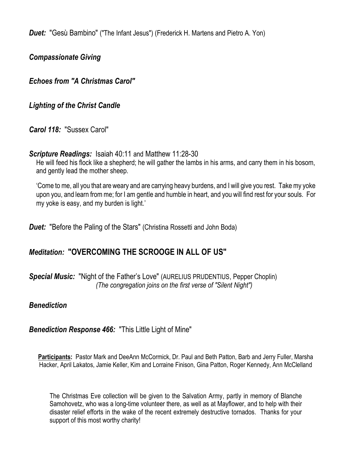**Duet:** "Gesù Bambino" ("The Infant Jesus") (Frederick H. Martens and Pietro A. Yon)

Compassionate Giving

Echoes from "A Christmas Carol"

Lighting of the Christ Candle

Carol 118: "Sussex Carol"

Scripture Readings: Isaiah 40:11 and Matthew 11:28-30

He will feed his flock like a shepherd; he will gather the lambs in his arms, and carry them in his bosom, and gently lead the mother sheep.

'Come to me, all you that are weary and are carrying heavy burdens, and I will give you rest. Take my yoke upon you, and learn from me; for I am gentle and humble in heart, and you will find rest for your souls. For my yoke is easy, and my burden is light.'

**Duet:** "Before the Paling of the Stars" (Christina Rossetti and John Boda)

# Meditation: "OVERCOMING THE SCROOGE IN ALL OF US"

Special Music: "Night of the Father's Love" (AURELIUS PRUDENTIUS, Pepper Choplin) (The congregation joins on the first verse of "Silent Night")

### **Benediction**

Benediction Response 466: "This Little Light of Mine"

Participants: Pastor Mark and DeeAnn McCormick, Dr. Paul and Beth Patton, Barb and Jerry Fuller, Marsha Hacker, April Lakatos, Jamie Keller, Kim and Lorraine Finison, Gina Patton, Roger Kennedy, Ann McClelland

The Christmas Eve collection will be given to the Salvation Army, partly in memory of Blanche Samohovetz, who was a long-time volunteer there, as well as at Mayflower, and to help with their disaster relief efforts in the wake of the recent extremely destructive tornados. Thanks for your support of this most worthy charity!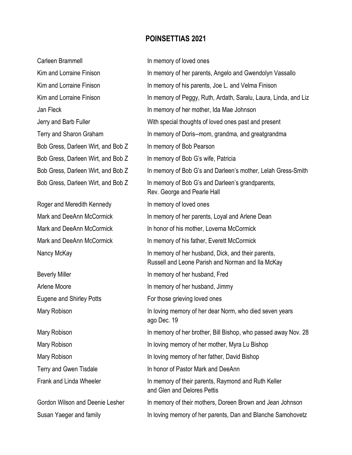#### POINSETTIAS 2021

| Carleen Brammell                   | In memory of loved ones                                                                                 |
|------------------------------------|---------------------------------------------------------------------------------------------------------|
| Kim and Lorraine Finison           | In memory of her parents, Angelo and Gwendolyn Vassallo                                                 |
| Kim and Lorraine Finison           | In memory of his parents, Joe L. and Velma Finison                                                      |
| Kim and Lorraine Finison           | In memory of Peggy, Ruth, Ardath, Saralu, Laura, Linda, and Liz                                         |
| Jan Fleck                          | In memory of her mother, Ida Mae Johnson                                                                |
| Jerry and Barb Fuller              | With special thoughts of loved ones past and present                                                    |
| Terry and Sharon Graham            | In memory of Doris--mom, grandma, and greatgrandma                                                      |
| Bob Gress, Darleen Wirt, and Bob Z | In memory of Bob Pearson                                                                                |
| Bob Gress, Darleen Wirt, and Bob Z | In memory of Bob G's wife, Patricia                                                                     |
| Bob Gress, Darleen Wirt, and Bob Z | In memory of Bob G's and Darleen's mother, Lelah Gress-Smith                                            |
| Bob Gress, Darleen Wirt, and Bob Z | In memory of Bob G's and Darleen's grandparents,<br>Rev. George and Pearle Hall                         |
| Roger and Meredith Kennedy         | In memory of loved ones                                                                                 |
| Mark and DeeAnn McCormick          | In memory of her parents, Loyal and Arlene Dean                                                         |
| Mark and DeeAnn McCormick          | In honor of his mother, Loverna McCormick                                                               |
| Mark and DeeAnn McCormick          | In memory of his father, Everett McCormick                                                              |
| Nancy McKay                        | In memory of her husband, Dick, and their parents,<br>Russell and Leone Parish and Norman and Ila McKay |
| <b>Beverly Miller</b>              | In memory of her husband, Fred                                                                          |
| Arlene Moore                       | In memory of her husband, Jimmy                                                                         |
| <b>Eugene and Shirley Potts</b>    | For those grieving loved ones                                                                           |
| Mary Robison                       | In loving memory of her dear Norm, who died seven years<br>ago Dec. 19                                  |
| Mary Robison                       | In memory of her brother, Bill Bishop, who passed away Nov. 28                                          |
| Mary Robison                       | In loving memory of her mother, Myra Lu Bishop                                                          |
| Mary Robison                       | In loving memory of her father, David Bishop                                                            |
| Terry and Gwen Tisdale             | In honor of Pastor Mark and DeeAnn                                                                      |
| Frank and Linda Wheeler            | In memory of their parents, Raymond and Ruth Keller<br>and Glen and Delores Pettis                      |
| Gordon Wilson and Deenie Lesher    | In memory of their mothers, Doreen Brown and Jean Johnson                                               |
| Cuson Vooger and family            | In loving memory of her perepte. Dep and Planche Camebovetz                                             |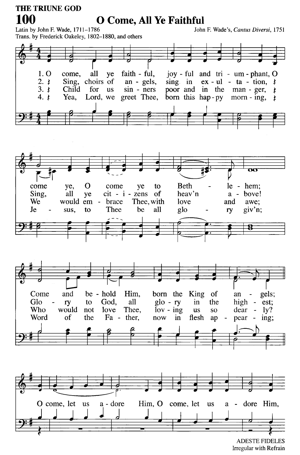#### **THE TRIUNE GOD** 100 **O Come, All Ye Faithful** Latin by John F. Wade, 1711-1786

John F. Wade's, Cantus Diversi, 1751

Trans. by Frederick Oakeley, 1802-1880, and others



**ADESTE FIDELES** Irregular with Refrain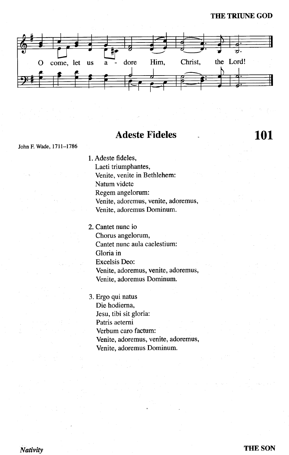#### **THE TRIUNE GOD**

**101** 



# **Adeste Fideles**

John F. Wade, 1711-1786

1. Adeste fideles,

Laeti triumphantes,

Venite, venite in Bethlehem:

Natum videte

Regem angelorum:

Venite, adoremus, venite, adoremus,

Venite, adoremus Dominum.

- 2. Cantet nunc io Chorus angelorum, Cantet nunc aula caelestium: Gloria in **Excelsis Deo:** Venite, adoremus, venite, adoremus, Venite, adoremus Dominum.
- 3. Ergo qui natus Die hodierna, Jesu, tibi sit gloria: Patris aeterni Verbum caro factum: Venite, adoremus, venite, adoremus, Venite, adoremus Dominum.

Nativity